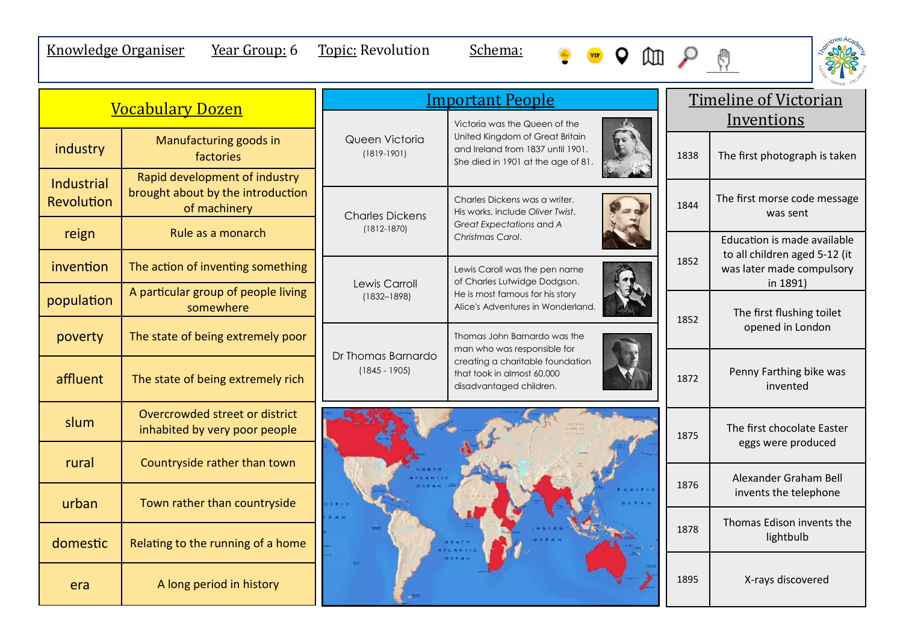## Knowledge Organiser Year Group: 6 Topic: Revolution Schema:





|                                        |                                                                                    | <b>Important People</b>               |                                                                                                            |      |            | <b>Timeline of Victorian</b>                                           |  |
|----------------------------------------|------------------------------------------------------------------------------------|---------------------------------------|------------------------------------------------------------------------------------------------------------|------|------------|------------------------------------------------------------------------|--|
| <b>Vocabulary Dozen</b>                |                                                                                    |                                       | Victoria was the Queen of the                                                                              |      | Inventions |                                                                        |  |
| industry                               | Manufacturing goods in<br>factories                                                | Queen Victoria<br>$(1819-1901)$       | United Kingdom of Great Britain<br>and Ireland from 1837 until 1901.<br>She died in 1901 at the age of 81. |      | 1838       | The first photograph is taken                                          |  |
| <b>Industrial</b><br><b>Revolution</b> | Rapid development of industry<br>brought about by the introduction<br>of machinery | <b>Charles Dickens</b>                | Charles Dickens was a writer.<br>His works, include Oliver Twist,                                          |      |            | The first morse code message<br>was sent                               |  |
| reign                                  | Rule as a monarch                                                                  | $(1812 - 1870)$                       | Great Expectations and A<br>Christmas Carol.                                                               |      |            | Education is made available                                            |  |
| invention                              | The action of inventing something                                                  | Lewis Carroll                         | Lewis Caroll was the pen name<br>of Charles Lutwidge Dodgson.                                              | 1852 |            | to all children aged 5-12 (it<br>was later made compulsory<br>in 1891) |  |
| population                             | A particular group of people living<br>somewhere                                   | $(1832 - 1898)$                       | He is most famous for his story<br>Alice's Adventures in Wonderland.                                       |      | 1852       | The first flushing toilet<br>opened in London                          |  |
| poverty                                | The state of being extremely poor                                                  |                                       | Thomas John Barnardo was the<br>man who was responsible for                                                |      |            |                                                                        |  |
| affluent                               | The state of being extremely rich                                                  | Dr Thomas Barnardo<br>$(1845 - 1905)$ | creating a charitable foundation<br>that took in almost 60,000<br>disadvantaged children.                  |      | 1872       | Penny Farthing bike was<br>invented                                    |  |
| slum                                   | Overcrowded street or district<br>inhabited by very poor people                    |                                       |                                                                                                            |      | 1875       | The first chocolate Easter<br>eggs were produced                       |  |
| rural                                  | Countryside rather than town                                                       |                                       |                                                                                                            |      |            | Alexander Graham Bell                                                  |  |
| urban                                  | Town rather than countryside                                                       |                                       |                                                                                                            |      | 1876       | invents the telephone                                                  |  |
| domestic                               | Relating to the running of a home                                                  |                                       |                                                                                                            |      | 1878       | Thomas Edison invents the<br>lightbulb                                 |  |
| era                                    | A long period in history                                                           |                                       | 0AFA                                                                                                       |      | 1895       | X-rays discovered                                                      |  |